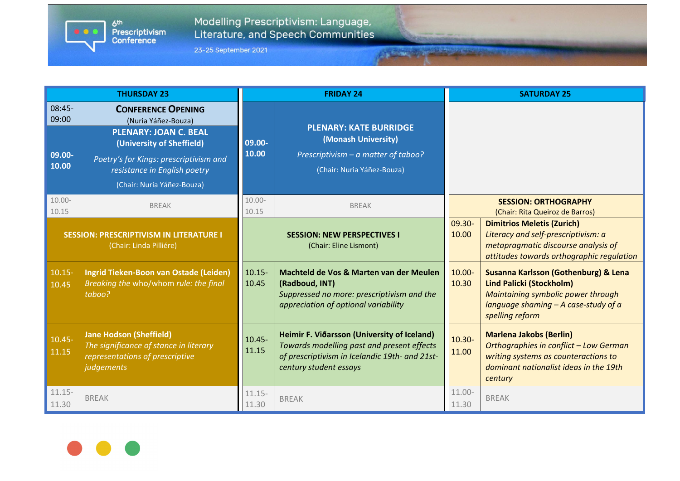6<sup>th</sup><br>Prescriptivism<br>Conference  $\bullet$   $\bullet$   $\bullet$ 

Modelling Prescriptivism: Language,<br>Literature, and Speech Communities

23-25 September 2021

| <b>THURSDAY 23</b>                                                        |                                                                                                                                                                                                                       | <b>FRIDAY 24</b>                                             |                                                                                                                                                                       |                    | <b>SATURDAY 25</b>                                                                                                                                                         |  |
|---------------------------------------------------------------------------|-----------------------------------------------------------------------------------------------------------------------------------------------------------------------------------------------------------------------|--------------------------------------------------------------|-----------------------------------------------------------------------------------------------------------------------------------------------------------------------|--------------------|----------------------------------------------------------------------------------------------------------------------------------------------------------------------------|--|
| $08:45-$<br>09:00<br>09.00-<br>10.00                                      | <b>CONFERENCE OPENING</b><br>(Nuria Yáñez-Bouza)<br><b>PLENARY: JOAN C. BEAL</b><br>(University of Sheffield)<br>Poetry's for Kings: prescriptivism and<br>resistance in English poetry<br>(Chair: Nuria Yáñez-Bouza) | 09.00-<br>10.00                                              | <b>PLENARY: KATE BURRIDGE</b><br>(Monash University)<br>Prescriptivism - a matter of taboo?<br>(Chair: Nuria Yáñez-Bouza)                                             |                    |                                                                                                                                                                            |  |
| $10.00 -$<br>10.15                                                        | <b>BREAK</b>                                                                                                                                                                                                          | $10.00 -$<br>10.15                                           | <b>BREAK</b>                                                                                                                                                          |                    | <b>SESSION: ORTHOGRAPHY</b><br>(Chair: Rita Queiroz de Barros)                                                                                                             |  |
| <b>SESSION: PRESCRIPTIVISM IN LITERATURE I</b><br>(Chair: Linda Pilliére) |                                                                                                                                                                                                                       | <b>SESSION: NEW PERSPECTIVES I</b><br>(Chair: Eline Lismont) |                                                                                                                                                                       | 09.30-<br>10.00    | <b>Dimitrios Meletis (Zurich)</b><br>Literacy and self-prescriptivism: a<br>metapragmatic discourse analysis of<br>attitudes towards orthographic regulation               |  |
| $10.15 -$<br>10.45                                                        | Ingrid Tieken-Boon van Ostade (Leiden)<br>Breaking the who/whom rule: the final<br>taboo?                                                                                                                             | $10.15 -$<br>10.45                                           | Machteld de Vos & Marten van der Meulen<br>(Radboud, INT)<br>Suppressed no more: prescriptivism and the<br>appreciation of optional variability                       | $10.00 -$<br>10.30 | Susanna Karlsson (Gothenburg) & Lena<br><b>Lind Palicki (Stockholm)</b><br>Maintaining symbolic power through<br>language shaming $-$ A case-study of a<br>spelling reform |  |
| $10.45 -$<br>11.15                                                        | <b>Jane Hodson (Sheffield)</b><br>The significance of stance in literary<br>representations of prescriptive<br>judgements                                                                                             | $10.45 -$<br>11.15                                           | Heimir F. Viðarsson (University of Iceland)<br>Towards modelling past and present effects<br>of prescriptivism in Icelandic 19th- and 21st-<br>century student essays | $10.30 -$<br>11.00 | <b>Marlena Jakobs (Berlin)</b><br>Orthographies in conflict - Low German<br>writing systems as counteractions to<br>dominant nationalist ideas in the 19th<br>century      |  |
| $11.15 -$<br>11.30                                                        | <b>BREAK</b>                                                                                                                                                                                                          | $11.15 -$<br>11.30                                           | <b>BREAK</b>                                                                                                                                                          | 11.00-<br>11.30    | <b>BREAK</b>                                                                                                                                                               |  |

Archives and the State

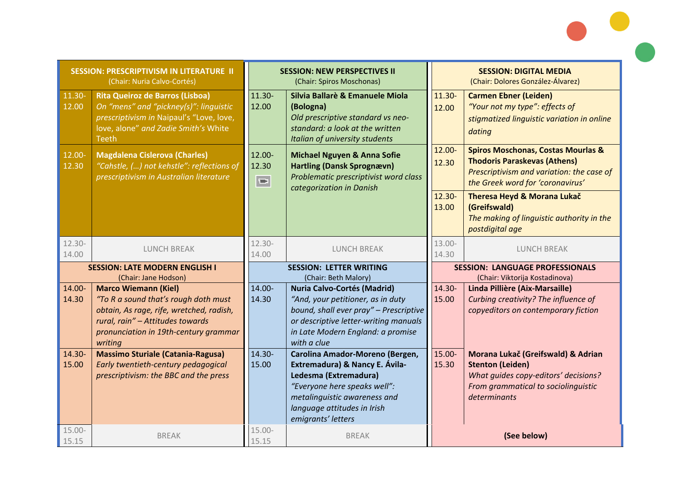| <b>SESSION: PRESCRIPTIVISM IN LITERATURE II</b><br>(Chair: Nuria Calvo-Cortés) |                                                                                                                                                                                                         | <b>SESSION: NEW PERSPECTIVES II</b><br>(Chair: Spiros Moschonas) |                                                                                                                                                                                                                 | <b>SESSION: DIGITAL MEDIA</b><br>(Chair: Dolores González-Álvarez)       |                                                                                                                                                                       |
|--------------------------------------------------------------------------------|---------------------------------------------------------------------------------------------------------------------------------------------------------------------------------------------------------|------------------------------------------------------------------|-----------------------------------------------------------------------------------------------------------------------------------------------------------------------------------------------------------------|--------------------------------------------------------------------------|-----------------------------------------------------------------------------------------------------------------------------------------------------------------------|
| 11.30-<br>12.00                                                                | <b>Rita Queiroz de Barros (Lisboa)</b><br>On "mens" and "pickney(s)": linguistic<br>prescriptivism in Naipaul's "Love, love,<br>love, alone" and Zadie Smith's White<br><b>Teeth</b>                    | 11.30-<br>12.00                                                  | Silvia Ballarè & Emanuele Miola<br>(Bologna)<br>Old prescriptive standard vs neo-<br>standard: a look at the written<br>Italian of university students                                                          | 11.30-<br>12.00                                                          | <b>Carmen Ebner (Leiden)</b><br>"Your not my type": effects of<br>stigmatized linguistic variation in online<br>dating                                                |
| 12.00-<br>12.30                                                                | <b>Magdalena Cislerova (Charles)</b><br>"Cahstle, () not kehstle": reflections of<br>prescriptivism in Australian literature                                                                            | 12.00-<br>12.30<br>$\hfill \Box$                                 | <b>Michael Nguyen &amp; Anna Sofie</b><br><b>Hartling (Dansk Sprognævn)</b><br>Problematic prescriptivist word class<br>categorization in Danish                                                                | 12.00-<br>12.30                                                          | <b>Spiros Moschonas, Costas Mourlas &amp;</b><br><b>Thodoris Paraskevas (Athens)</b><br>Prescriptivism and variation: the case of<br>the Greek word for 'coronavirus' |
|                                                                                |                                                                                                                                                                                                         |                                                                  |                                                                                                                                                                                                                 | $12.30 -$<br>13.00                                                       | Theresa Heyd & Morana Lukač<br>(Greifswald)<br>The making of linguistic authority in the<br>postdigital age                                                           |
| 12.30-<br>14.00                                                                | <b>LUNCH BREAK</b>                                                                                                                                                                                      | 12.30-<br>14.00                                                  | <b>LUNCH BREAK</b>                                                                                                                                                                                              | 13.00-<br>14.30                                                          | <b>LUNCH BREAK</b>                                                                                                                                                    |
| <b>SESSION: LATE MODERN ENGLISH I</b><br>(Chair: Jane Hodson)                  |                                                                                                                                                                                                         | <b>SESSION: LETTER WRITING</b><br>(Chair: Beth Malory)           |                                                                                                                                                                                                                 | <b>SESSION: LANGUAGE PROFESSIONALS</b><br>(Chair: Viktorija Kostadinova) |                                                                                                                                                                       |
| 14.00-<br>14.30                                                                | <b>Marco Wiemann (Kiel)</b><br>"To R a sound that's rough doth must<br>obtain, As rage, rife, wretched, radish,<br>rural, rain" - Attitudes towards<br>pronunciation in 19th-century grammar<br>writing | 14.00-<br>14.30                                                  | <b>Nuria Calvo-Cortés (Madrid)</b><br>"And, your petitioner, as in duty<br>bound, shall ever pray" - Prescriptive<br>or descriptive letter-writing manuals<br>in Late Modern England: a promise<br>with a clue  | 14.30-<br>15.00                                                          | Linda Pillière (Aix-Marsaille)<br>Curbing creativity? The influence of<br>copyeditors on contemporary fiction                                                         |
| 14.30-<br>15.00                                                                | <b>Massimo Sturiale (Catania-Ragusa)</b><br>Early twentieth-century pedagogical<br>prescriptivism: the BBC and the press                                                                                | 14.30-<br>15.00                                                  | Carolina Amador-Moreno (Bergen,<br>Extremadura) & Nancy E. Ávila-<br>Ledesma (Extremadura)<br>"Everyone here speaks well":<br>metalinguistic awareness and<br>language attitudes in Irish<br>emigrants' letters | 15.00-<br>15.30                                                          | Morana Lukač (Greifswald) & Adrian<br><b>Stenton (Leiden)</b><br>What guides copy-editors' decisions?<br>From grammatical to sociolinguistic<br>determinants          |
| $15.00 -$<br>15.15                                                             | <b>BREAK</b>                                                                                                                                                                                            | $15.00 -$<br>15.15                                               | <b>BREAK</b>                                                                                                                                                                                                    |                                                                          | (See below)                                                                                                                                                           |

 $\bullet$